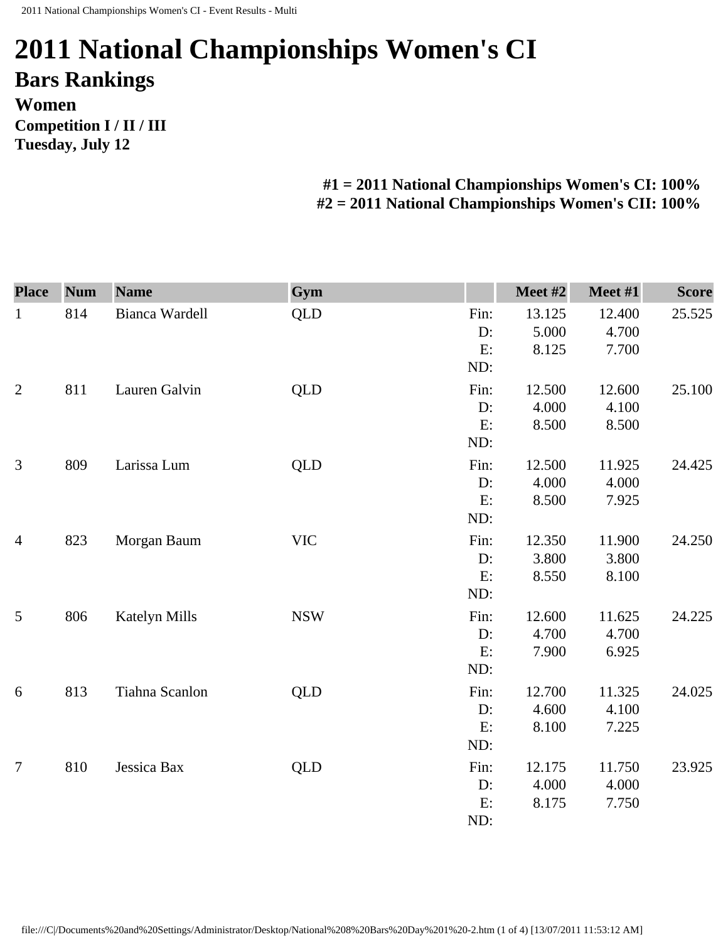## **2011 National Championships Women's CI Bars Rankings Women Competition I / II / III Tuesday, July 12**

**#1 = 2011 National Championships Women's CI: 100% #2 = 2011 National Championships Women's CII: 100%** 

| <b>Place</b>   | <b>Num</b> | <b>Name</b>    | Gym        |                         | Meet #2                  | Meet #1                  | <b>Score</b> |
|----------------|------------|----------------|------------|-------------------------|--------------------------|--------------------------|--------------|
| $\mathbf{1}$   | 814        | Bianca Wardell | <b>QLD</b> | Fin:<br>D:<br>E:<br>ND: | 13.125<br>5.000<br>8.125 | 12.400<br>4.700<br>7.700 | 25.525       |
| $\overline{2}$ | 811        | Lauren Galvin  | <b>QLD</b> | Fin:<br>D:<br>E:<br>ND: | 12.500<br>4.000<br>8.500 | 12.600<br>4.100<br>8.500 | 25.100       |
| 3              | 809        | Larissa Lum    | <b>QLD</b> | Fin:<br>D:<br>E:<br>ND: | 12.500<br>4.000<br>8.500 | 11.925<br>4.000<br>7.925 | 24.425       |
| $\overline{4}$ | 823        | Morgan Baum    | <b>VIC</b> | Fin:<br>D:<br>E:<br>ND: | 12.350<br>3.800<br>8.550 | 11.900<br>3.800<br>8.100 | 24.250       |
| 5              | 806        | Katelyn Mills  | <b>NSW</b> | Fin:<br>D:<br>E:<br>ND: | 12.600<br>4.700<br>7.900 | 11.625<br>4.700<br>6.925 | 24.225       |
| $6\,$          | 813        | Tiahna Scanlon | <b>QLD</b> | Fin:<br>D:<br>E:<br>ND: | 12.700<br>4.600<br>8.100 | 11.325<br>4.100<br>7.225 | 24.025       |
| $\overline{7}$ | 810        | Jessica Bax    | <b>QLD</b> | Fin:<br>D:<br>E:<br>ND: | 12.175<br>4.000<br>8.175 | 11.750<br>4.000<br>7.750 | 23.925       |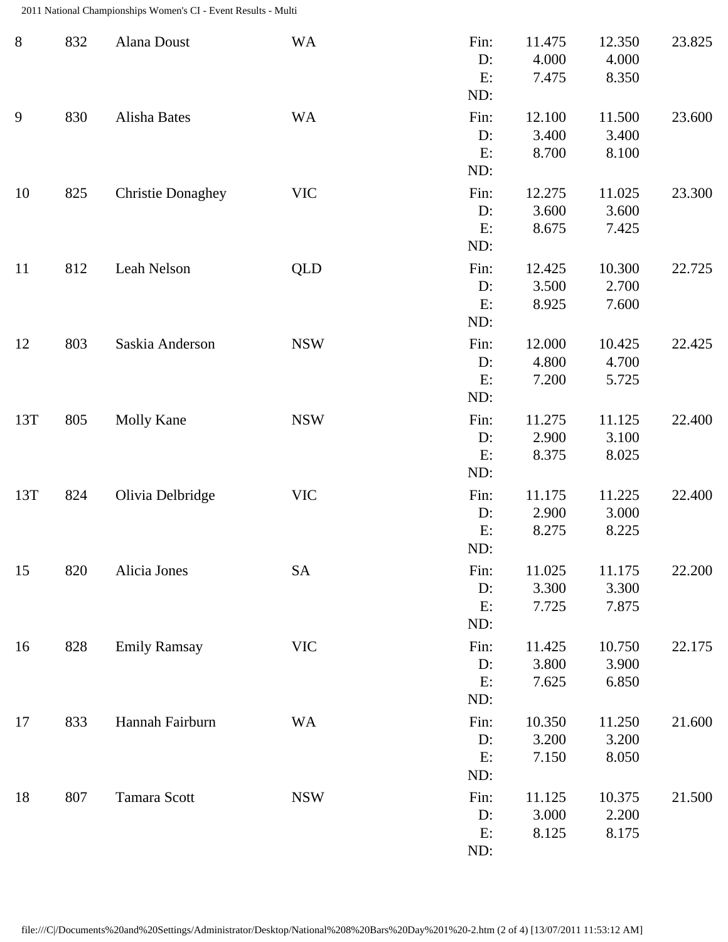2011 National Championships Women's CI - Event Results - Multi

| $8\,$ | 832 | Alana Doust              | <b>WA</b>  | Fin:<br>D:<br>E:<br>ND:    | 11.475<br>4.000<br>7.475 | 12.350<br>4.000<br>8.350 | 23.825 |
|-------|-----|--------------------------|------------|----------------------------|--------------------------|--------------------------|--------|
| 9     | 830 | Alisha Bates             | <b>WA</b>  | Fin:<br>$D$ :<br>E:<br>ND: | 12.100<br>3.400<br>8.700 | 11.500<br>3.400<br>8.100 | 23.600 |
| 10    | 825 | <b>Christie Donaghey</b> | <b>VIC</b> | Fin:<br>D:<br>E:<br>ND:    | 12.275<br>3.600<br>8.675 | 11.025<br>3.600<br>7.425 | 23.300 |
| 11    | 812 | Leah Nelson              | <b>QLD</b> | Fin:<br>$D$ :<br>E:<br>ND: | 12.425<br>3.500<br>8.925 | 10.300<br>2.700<br>7.600 | 22.725 |
| 12    | 803 | Saskia Anderson          | <b>NSW</b> | Fin:<br>D:<br>E:<br>ND:    | 12.000<br>4.800<br>7.200 | 10.425<br>4.700<br>5.725 | 22.425 |
| 13T   | 805 | <b>Molly Kane</b>        | <b>NSW</b> | Fin:<br>D:<br>E:<br>ND:    | 11.275<br>2.900<br>8.375 | 11.125<br>3.100<br>8.025 | 22.400 |
| 13T   | 824 | Olivia Delbridge         | <b>VIC</b> | Fin:<br>D:<br>E:<br>ND:    | 11.175<br>2.900<br>8.275 | 11.225<br>3.000<br>8.225 | 22.400 |
| 15    | 820 | Alicia Jones             | <b>SA</b>  | Fin:<br>D:<br>E:<br>ND:    | 11.025<br>3.300<br>7.725 | 11.175<br>3.300<br>7.875 | 22.200 |
| 16    | 828 | <b>Emily Ramsay</b>      | <b>VIC</b> | Fin:<br>D:<br>E:<br>ND:    | 11.425<br>3.800<br>7.625 | 10.750<br>3.900<br>6.850 | 22.175 |
| 17    | 833 | Hannah Fairburn          | <b>WA</b>  | Fin:<br>D:<br>E:<br>ND:    | 10.350<br>3.200<br>7.150 | 11.250<br>3.200<br>8.050 | 21.600 |
| 18    | 807 | Tamara Scott             | <b>NSW</b> | Fin:<br>D:<br>E:<br>ND:    | 11.125<br>3.000<br>8.125 | 10.375<br>2.200<br>8.175 | 21.500 |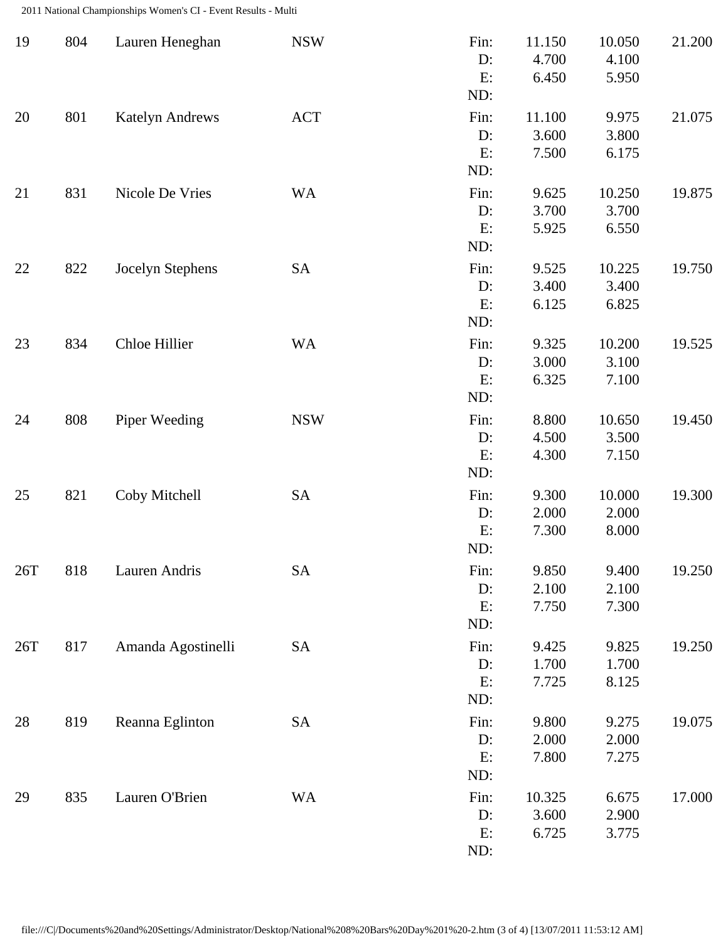2011 National Championships Women's CI - Event Results - Multi

| 19  | 804 | Lauren Heneghan        | <b>NSW</b> | Fin:<br>D:<br>E:<br>ND:    | 11.150<br>4.700<br>6.450 | 10.050<br>4.100<br>5.950 | 21.200 |
|-----|-----|------------------------|------------|----------------------------|--------------------------|--------------------------|--------|
| 20  | 801 | <b>Katelyn Andrews</b> | <b>ACT</b> | Fin:<br>$D$ :<br>E:<br>ND: | 11.100<br>3.600<br>7.500 | 9.975<br>3.800<br>6.175  | 21.075 |
| 21  | 831 | Nicole De Vries        | <b>WA</b>  | Fin:<br>D:<br>E:<br>ND:    | 9.625<br>3.700<br>5.925  | 10.250<br>3.700<br>6.550 | 19.875 |
| 22  | 822 | Jocelyn Stephens       | SA         | Fin:<br>D:<br>E:<br>ND:    | 9.525<br>3.400<br>6.125  | 10.225<br>3.400<br>6.825 | 19.750 |
| 23  | 834 | Chloe Hillier          | <b>WA</b>  | Fin:<br>D:<br>E:<br>ND:    | 9.325<br>3.000<br>6.325  | 10.200<br>3.100<br>7.100 | 19.525 |
| 24  | 808 | Piper Weeding          | <b>NSW</b> | Fin:<br>D:<br>E:<br>ND:    | 8.800<br>4.500<br>4.300  | 10.650<br>3.500<br>7.150 | 19.450 |
| 25  | 821 | Coby Mitchell          | <b>SA</b>  | Fin:<br>D:<br>E:<br>ND:    | 9.300<br>2.000<br>7.300  | 10.000<br>2.000<br>8.000 | 19.300 |
| 26T | 818 | Lauren Andris          | SA         | Fin:<br>D:<br>E:<br>ND:    | 9.850<br>2.100<br>7.750  | 9.400<br>2.100<br>7.300  | 19.250 |
| 26T | 817 | Amanda Agostinelli     | <b>SA</b>  | Fin:<br>D:<br>E:<br>ND:    | 9.425<br>1.700<br>7.725  | 9.825<br>1.700<br>8.125  | 19.250 |
| 28  | 819 | Reanna Eglinton        | <b>SA</b>  | Fin:<br>D:<br>E:<br>ND:    | 9.800<br>2.000<br>7.800  | 9.275<br>2.000<br>7.275  | 19.075 |
| 29  | 835 | Lauren O'Brien         | <b>WA</b>  | Fin:<br>D:<br>E:<br>ND:    | 10.325<br>3.600<br>6.725 | 6.675<br>2.900<br>3.775  | 17.000 |